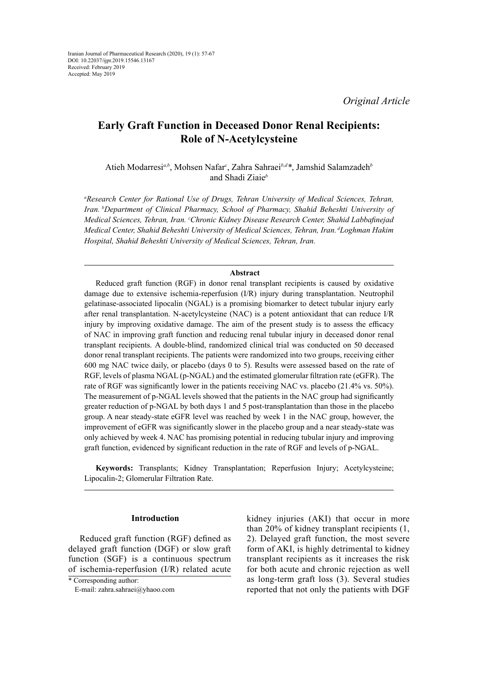*Original Article*

# **Early Graft Function in Deceased Donor Renal Recipients: Role of N-Acetylcysteine**

Atieh Modarresi*a,b*, Mohsen Nafar*<sup>c</sup>* , Zahra Sahraei*b,d\**, Jamshid Salamzadeh*<sup>b</sup>* and Shadi Ziaie*<sup>b</sup>*

*a Research Center for Rational Use of Drugs, Tehran University of Medical Sciences, Tehran, Iran. bDepartment of Clinical Pharmacy, School of Pharmacy, Shahid Beheshti University of Medical Sciences, Tehran, Iran. <sup>c</sup> Chronic Kidney Disease Research Center, Shahid Labbafinejad Medical Center, Shahid Beheshti University of Medical Sciences, Tehran, Iran. dLoghman Hakim Hospital, Shahid Beheshti University of Medical Sciences, Tehran, Iran.*

#### **Abstract**

Reduced graft function (RGF) in donor renal transplant recipients is caused by oxidative damage due to extensive ischemia-reperfusion (I/R) injury during transplantation. Neutrophil gelatinase-associated lipocalin (NGAL) is a promising biomarker to detect tubular injury early after renal transplantation. N-acetylcysteine (NAC) is a potent antioxidant that can reduce I/R injury by improving oxidative damage. The aim of the present study is to assess the efficacy of NAC in improving graft function and reducing renal tubular injury in deceased donor renal transplant recipients. A double-blind, randomized clinical trial was conducted on 50 deceased donor renal transplant recipients. The patients were randomized into two groups, receiving either 600 mg NAC twice daily, or placebo (days 0 to 5). Results were assessed based on the rate of RGF, levels of plasma NGAL (p-NGAL) and the estimated glomerular filtration rate (eGFR). The rate of RGF was significantly lower in the patients receiving NAC vs. placebo (21.4% vs. 50%). The measurement of p-NGAL levels showed that the patients in the NAC group had significantly greater reduction of p-NGAL by both days 1 and 5 post-transplantation than those in the placebo group. A near steady-state eGFR level was reached by week 1 in the NAC group, however, the improvement of eGFR was significantly slower in the placebo group and a near steady-state was only achieved by week 4. NAC has promising potential in reducing tubular injury and improving graft function, evidenced by significant reduction in the rate of RGF and levels of p-NGAL.

**Keywords:** Transplants; Kidney Transplantation; Reperfusion Injury; Acetylcysteine; Lipocalin-2; Glomerular Filtration Rate.

# **Introduction**

Reduced graft function (RGF) defined as delayed graft function (DGF) or slow graft function (SGF) is a continuous spectrum of ischemia-reperfusion (I/R) related acute

kidney injuries (AKI) that occur in more than 20% of kidney transplant recipients (1, 2). Delayed graft function, the most severe form of AKI, is highly detrimental to kidney transplant recipients as it increases the risk for both acute and chronic rejection as well as long-term graft loss (3). Several studies reported that not only the patients with DGF

<sup>\*</sup> Corresponding author:

E-mail: zahra.sahraei@yhaoo.com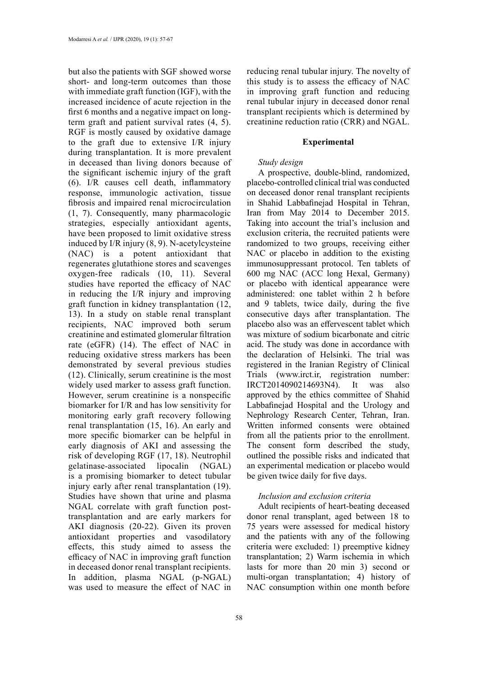but also the patients with SGF showed worse short- and long-term outcomes than those with immediate graft function (IGF), with the increased incidence of acute rejection in the first 6 months and a negative impact on longterm graft and patient survival rates (4, 5). RGF is mostly caused by oxidative damage to the graft due to extensive I/R injury during transplantation. It is more prevalent in deceased than living donors because of the significant ischemic injury of the graft (6). I/R causes cell death, inflammatory response, immunologic activation, tissue fibrosis and impaired renal microcirculation (1, 7). Consequently, many pharmacologic strategies, especially antioxidant agents, have been proposed to limit oxidative stress induced by I/R injury (8, 9). N-acetylcysteine (NAC) is a potent antioxidant that regenerates glutathione stores and scavenges oxygen-free radicals (10, 11). Several studies have reported the efficacy of NAC in reducing the I/R injury and improving graft function in kidney transplantation (12, 13). In a study on stable renal transplant recipients, NAC improved both serum creatinine and estimated glomerular filtration rate (eGFR) (14). The effect of NAC in reducing oxidative stress markers has been demonstrated by several previous studies (12). Clinically, serum creatinine is the most widely used marker to assess graft function. However, serum creatinine is a nonspecific biomarker for I/R and has low sensitivity for monitoring early graft recovery following renal transplantation (15, 16). An early and more specific biomarker can be helpful in early diagnosis of AKI and assessing the risk of developing RGF (17, 18). Neutrophil gelatinase-associated lipocalin (NGAL) is a promising biomarker to detect tubular injury early after renal transplantation (19). Studies have shown that urine and plasma NGAL correlate with graft function posttransplantation and are early markers for AKI diagnosis (20-22). Given its proven antioxidant properties and vasodilatory effects, this study aimed to assess the efficacy of NAC in improving graft function in deceased donor renal transplant recipients. In addition, plasma NGAL (p-NGAL) was used to measure the effect of NAC in

58

reducing renal tubular injury. The novelty of this study is to assess the efficacy of NAC in improving graft function and reducing renal tubular injury in deceased donor renal transplant recipients which is determined by creatinine reduction ratio (CRR) and NGAL.

# **Experimental**

# *Study design*

A prospective, double-blind, randomized, placebo-controlled clinical trial was conducted on deceased donor renal transplant recipients in Shahid Labbafinejad Hospital in Tehran, Iran from May 2014 to December 2015. Taking into account the trial's inclusion and exclusion criteria, the recruited patients were randomized to two groups, receiving either NAC or placebo in addition to the existing immunosuppressant protocol. Ten tablets of 600 mg NAC (ACC long Hexal, Germany) or placebo with identical appearance were administered: one tablet within 2 h before and 9 tablets, twice daily, during the five consecutive days after transplantation. The placebo also was an effervescent tablet which was mixture of sodium bicarbonate and citric acid. The study was done in accordance with the declaration of Helsinki. The trial was registered in the Iranian Registry of Clinical Trials (www.irct.ir, registration number: IRCT2014090214693N4). It was also approved by the ethics committee of Shahid Labbafinejad Hospital and the Urology and Nephrology Research Center, Tehran, Iran. Written informed consents were obtained from all the patients prior to the enrollment. The consent form described the study, outlined the possible risks and indicated that an experimental medication or placebo would be given twice daily for five days.

# *Inclusion and exclusion criteria*

Adult recipients of heart-beating deceased donor renal transplant, aged between 18 to 75 years were assessed for medical history and the patients with any of the following criteria were excluded: 1) preemptive kidney transplantation; 2) Warm ischemia in which lasts for more than 20 min 3) second or multi-organ transplantation; 4) history of NAC consumption within one month before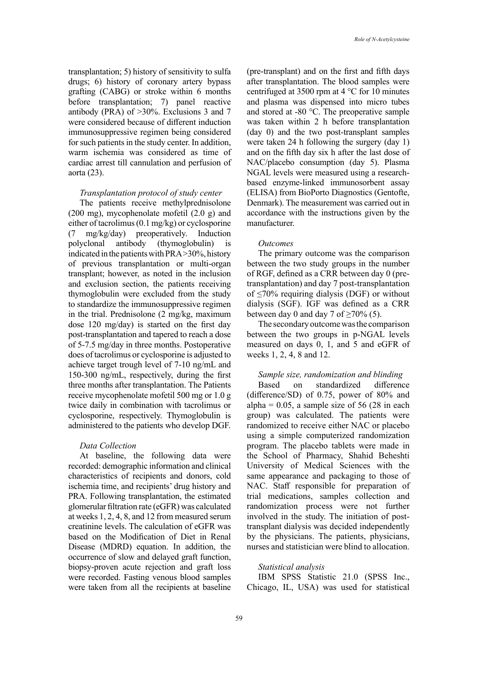transplantation; 5) history of sensitivity to sulfa drugs; 6) history of coronary artery bypass grafting (CABG) or stroke within 6 months before transplantation; 7) panel reactive antibody (PRA) of >30%. Exclusions 3 and 7 were considered because of different induction immunosuppressive regimen being considered for such patients in the study center. In addition, warm ischemia was considered as time of cardiac arrest till cannulation and perfusion of aorta (23).

#### *Transplantation protocol of study center*

The patients receive methylprednisolone (200 mg), mycophenolate mofetil (2.0 g) and either of tacrolimus (0.1 mg/kg) or cyclosporine (7 mg/kg/day) preoperatively. Induction polyclonal antibody (thymoglobulin) is indicated in the patients with PRA >30%, history of previous transplantation or multi-organ transplant; however, as noted in the inclusion and exclusion section, the patients receiving thymoglobulin were excluded from the study to standardize the immunosuppressive regimen in the trial. Prednisolone (2 mg/kg, maximum dose 120 mg/day) is started on the first day post-transplantation and tapered to reach a dose of 5-7.5 mg/day in three months. Postoperative does of tacrolimus or cyclosporine is adjusted to achieve target trough level of 7-10 ng/mL and 150-300 ng/mL, respectively, during the first three months after transplantation. The Patients receive mycophenolate mofetil 500 mg or 1.0 g twice daily in combination with tacrolimus or cyclosporine, respectively. Thymoglobulin is administered to the patients who develop DGF.

# *Data Collection*

At baseline, the following data were recorded: demographic information and clinical characteristics of recipients and donors, cold ischemia time, and recipients' drug history and PRA. Following transplantation, the estimated glomerular filtration rate (eGFR) was calculated at weeks 1, 2, 4, 8, and 12 from measured serum creatinine levels. The calculation of eGFR was based on the Modification of Diet in Renal Disease (MDRD) equation. In addition, the occurrence of slow and delayed graft function, biopsy-proven acute rejection and graft loss were recorded. Fasting venous blood samples were taken from all the recipients at baseline

(pre-transplant) and on the first and fifth days after transplantation. The blood samples were centrifuged at 3500 rpm at 4 °C for 10 minutes and plasma was dispensed into micro tubes and stored at -80 °C. The preoperative sample was taken within 2 h before transplantation (day 0) and the two post-transplant samples were taken 24 h following the surgery (day 1) and on the fifth day six h after the last dose of NAC/placebo consumption (day 5). Plasma NGAL levels were measured using a researchbased enzyme-linked immunosorbent assay (ELISA) from BioPorto Diagnostics (Gentofte, Denmark). The measurement was carried out in accordance with the instructions given by the manufacturer.

# *Outcomes*

The primary outcome was the comparison between the two study groups in the number of RGF, defined as a CRR between day 0 (pretransplantation) and day 7 post-transplantation of  $\leq$ 70% requiring dialysis (DGF) or without dialysis (SGF). IGF was defined as a CRR between day 0 and day 7 of  $\geq$ 70% (5).

The secondary outcome was the comparison between the two groups in p-NGAL levels measured on days 0, 1, and 5 and eGFR of weeks 1, 2, 4, 8 and 12.

# *Sample size, randomization and blinding*

Based on standardized difference (difference/SD) of 0.75, power of 80% and alpha =  $0.05$ , a sample size of 56 (28 in each group) was calculated. The patients were randomized to receive either NAC or placebo using a simple computerized randomization program. The placebo tablets were made in the School of Pharmacy, Shahid Beheshti University of Medical Sciences with the same appearance and packaging to those of NAC. Staff responsible for preparation of trial medications, samples collection and randomization process were not further involved in the study. The initiation of posttransplant dialysis was decided independently by the physicians. The patients, physicians, nurses and statistician were blind to allocation.

# *Statistical analysis*

IBM SPSS Statistic 21.0 (SPSS Inc., Chicago, IL, USA) was used for statistical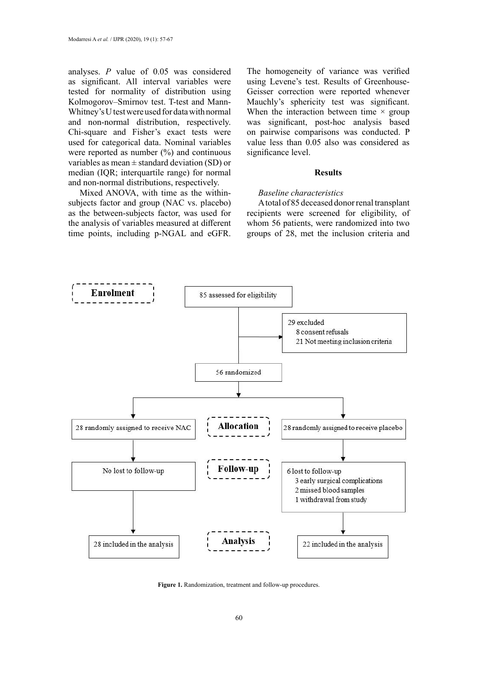analyses. *P* value of 0.05 was considered as significant. All interval variables were tested for normality of distribution using Kolmogorov–Smirnov test. T-test and Mann-Whitney's U test were used for data with normal and non-normal distribution, respectively. Chi-square and Fisher's exact tests were used for categorical data. Nominal variables were reported as number  $(\%)$  and continuous variables as mean  $\pm$  standard deviation (SD) or median (IQR; interquartile range) for normal and non-normal distributions, respectively.

Mixed ANOVA, with time as the withinsubjects factor and group (NAC vs. placebo) as the between-subjects factor, was used for the analysis of variables measured at different time points, including p-NGAL and eGFR.

The homogeneity of variance was verified using Levene's test. Results of Greenhouse-Geisser correction were reported whenever Mauchly's sphericity test was significant. When the interaction between time  $\times$  group was significant, post-hoc analysis based on pairwise comparisons was conducted. P value less than 0.05 also was considered as significance level.

#### **Results**

# *Baseline characteristics*

A total of 85 deceased donor renal transplant recipients were screened for eligibility, of whom 56 patients, were randomized into two groups of 28, met the inclusion criteria and



**Figure 1.** Randomization, treatment and follow-up procedures.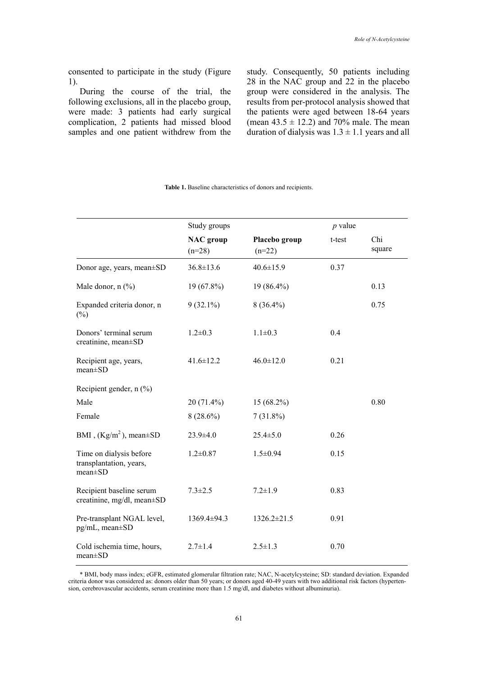consented to participate in the study (Figure 1).

During the course of the trial, the following exclusions, all in the placebo group, were made: 3 patients had early surgical complication, 2 patients had missed blood samples and one patient withdrew from the study. Consequently, 50 patients including 28 in the NAC group and 22 in the placebo group were considered in the analysis. The results from per-protocol analysis showed that the patients were aged between 18-64 years (mean  $43.5 \pm 12.2$ ) and  $70\%$  male. The mean duration of dialysis was  $1.3 \pm 1.1$  years and all

|                                                                     | Study groups                 |                           | $p$ value |               |
|---------------------------------------------------------------------|------------------------------|---------------------------|-----------|---------------|
|                                                                     | <b>NAC</b> group<br>$(n=28)$ | Placebo group<br>$(n=22)$ | t-test    | Chi<br>square |
| Donor age, years, mean±SD                                           | $36.8 \pm 13.6$              | $40.6 \pm 15.9$           | 0.37      |               |
| Male donor, n (%)                                                   | 19 (67.8%)                   | 19 (86.4%)                |           | 0.13          |
| Expanded criteria donor, n<br>$(\%)$                                | $9(32.1\%)$                  | $8(36.4\%)$               |           | 0.75          |
| Donors' terminal serum<br>creatinine, mean±SD                       | $1.2 \pm 0.3$                | $1.1 \pm 0.3$             | 0.4       |               |
| Recipient age, years,<br>$mean \pm SD$                              | $41.6 \pm 12.2$              | $46.0 \pm 12.0$           | 0.21      |               |
| Recipient gender, n (%)                                             |                              |                           |           |               |
| Male                                                                | 20 (71.4%)                   | 15 (68.2%)                |           | 0.80          |
| Female                                                              | $8(28.6\%)$                  | $7(31.8\%)$               |           |               |
| BMI, $(Kg/m^2)$ , mean $\pm SD$                                     | 23.9±4.0                     | $25.4 \pm 5.0$            | 0.26      |               |
| Time on dialysis before<br>transplantation, years,<br>$mean \pm SD$ | $1.2 \pm 0.87$               | $1.5 \pm 0.94$            | 0.15      |               |
| Recipient baseline serum<br>creatinine, mg/dl, mean±SD              | $7.3 \pm 2.5$                | $7.2 \pm 1.9$             | 0.83      |               |
| Pre-transplant NGAL level,<br>pg/mL, mean±SD                        | 1369.4±94.3                  | $1326.2 \pm 21.5$         | 0.91      |               |
| Cold ischemia time, hours,<br>$mean \pm SD$                         | $2.7 \pm 1.4$                | $2.5 \pm 1.3$             | 0.70      |               |

#### **Table 1.** Baseline characteristics of donors and recipients.

sion, cerebrovascular accidents, serum creatinine more than 1.5 mg/dl, and diabetes without albuminuria). \* BMI, body mass index; eGFR, estimated glomerular filtration rate; NAC, N-acetylcysteine; SD: standard deviation. Expanded criteria donor was considered as: donors older than 50 years; or donors aged 40-49 years with two additional risk factors (hyperten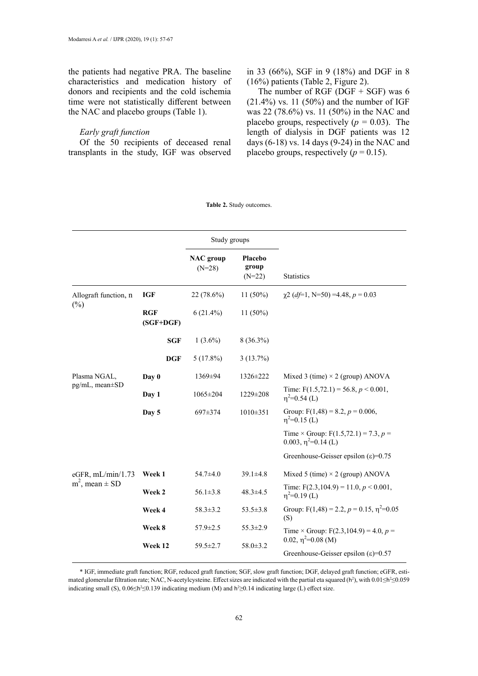the patients had negative PRA. The baseline characteristics and medication history of donors and recipients and the cold ischemia time were not statistically different between the NAC and placebo groups (Table 1).

# *Early graft function*

Of the 50 recipients of deceased renal transplants in the study, IGF was observed in 33 (66%), SGF in 9 (18%) and DGF in 8 (16%) patients (Table 2, Figure 2).

The number of RGF (DGF  $+$  SGF) was 6  $(21.4\%)$  vs. 11 (50%) and the number of IGF was 22 (78.6%) vs. 11 (50%) in the NAC and placebo groups, respectively  $(p = 0.03)$ . The length of dialysis in DGF patients was 12 days (6-18) vs. 14 days (9-24) in the NAC and placebo groups, respectively  $(p = 0.15)$ .

|                                            |                           | Study groups                 |                              |                                                                           |
|--------------------------------------------|---------------------------|------------------------------|------------------------------|---------------------------------------------------------------------------|
|                                            |                           | <b>NAC</b> group<br>$(N=28)$ | Placebo<br>group<br>$(N=22)$ | Statistics                                                                |
| Allograft function, n<br>$(\%)$            | <b>IGF</b>                | 22 (78.6%)                   | $11(50\%)$                   | $\chi$ 2 (df=1, N=50) =4.48, p = 0.03                                     |
|                                            | <b>RGF</b><br>$(SGF+DGF)$ | $6(21.4\%)$                  | $11(50\%)$                   |                                                                           |
|                                            | <b>SGF</b>                | $1(3.6\%)$                   | $8(36.3\%)$                  |                                                                           |
|                                            | <b>DGF</b>                | $5(17.8\%)$                  | 3(13.7%)                     |                                                                           |
| Plasma NGAL,<br>pg/mL, mean±SD             | Day 0                     | 1369±94                      | 1326±222                     | Mixed 3 (time) $\times$ 2 (group) ANOVA                                   |
|                                            | Day 1                     | $1065 \pm 204$               | 1229±208                     | Time: $F(1.5,72.1) = 56.8, p < 0.001,$<br>$\eta^2$ =0.54 (L)              |
|                                            | Day 5                     | 697±374                      | $1010 \pm 351$               | Group: $F(1,48) = 8.2$ , $p = 0.006$ ,<br>$\eta^2$ =0.15 (L)              |
|                                            |                           |                              |                              | Time × Group: $F(1.5, 72.1) = 7.3$ , $p =$<br>0.003, $\eta^2$ =0.14 (L)   |
|                                            |                           |                              |                              | Greenhouse-Geisser epsilon $(\epsilon)$ =0.75                             |
| eGFR, mL/min/1.73<br>$m^2$ , mean $\pm$ SD | Week 1                    | $54.7 \pm 4.0$               | $39.1 \pm 4.8$               | Mixed 5 (time) $\times$ 2 (group) ANOVA                                   |
|                                            | Week 2                    | $56.1 \pm 3.8$               | $48.3 \pm 4.5$               | Time: $F(2.3, 104.9) = 11.0, p < 0.001$ ,<br>$\eta^2$ =0.19 (L)           |
|                                            | Week 4                    | $58.3 \pm 3.2$               | $53.5 \pm 3.8$               | Group: $F(1,48) = 2.2$ , $p = 0.15$ , $\eta^2 = 0.05$<br>(S)              |
|                                            | Week 8                    | $57.9 \pm 2.5$               | $55.3 \pm 2.9$               | Time × Group: $F(2.3, 104.9) = 4.0, p =$                                  |
|                                            | Week 12                   | $59.5 \pm 2.7$               | $58.0 \pm 3.2$               | 0.02, $\eta^2$ =0.08 (M)<br>Greenhouse-Geisser epsilon $(\epsilon)$ =0.57 |

**Table 2.** Study outcomes.

\* IGF, immediate graft function; RGF, reduced graft function; SGF, slow graft function; DGF, delayed graft function; eGFR, estimated glomerular filtration rate; NAC, N-acetylcysteine. Effect sizes are indicated with the partial eta squared (h<sup>2</sup>), with  $0.01 \leq h^2 \leq 0.059$ indicating small (S),  $0.06 \leq h^2 \leq 0.139$  indicating medium (M) and  $h^2 \geq 0.14$  indicating large (L) effect size.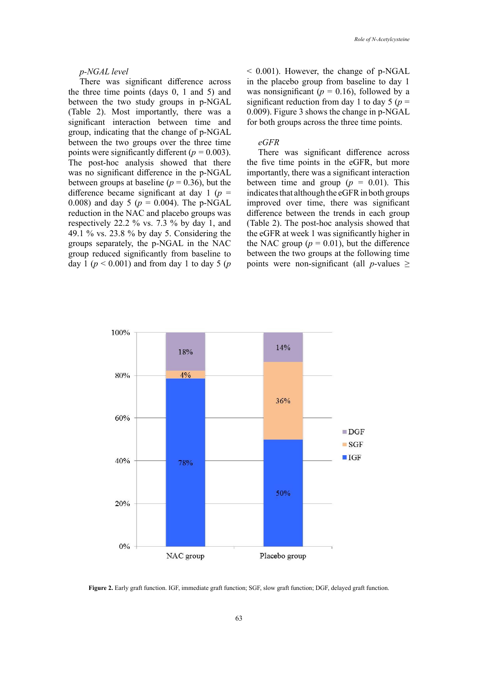#### *p-NGAL level*

There was significant difference across the three time points (days 0, 1 and 5) and between the two study groups in p-NGAL (Table 2). Most importantly, there was a significant interaction between time and group, indicating that the change of p-NGAL between the two groups over the three time points were significantly different  $(p = 0.003)$ . The post-hoc analysis showed that there was no significant difference in the p-NGAL between groups at baseline ( $p = 0.36$ ), but the difference became significant at day 1 (*p* = 0.008) and day 5 (*p* = 0.004). The p-NGAL reduction in the NAC and placebo groups was respectively 22.2 % vs. 7.3 % by day 1, and 49.1 % vs. 23.8 % by day 5. Considering the groups separately, the p-NGAL in the NAC group reduced significantly from baseline to day 1 ( $p < 0.001$ ) and from day 1 to day 5 ( $p$ )

 $< 0.001$ ). However, the change of p-NGAL in the placebo group from baseline to day 1 was nonsignificant ( $p = 0.16$ ), followed by a significant reduction from day 1 to day 5 ( $p =$ 0.009). Figure 3 shows the change in p-NGAL for both groups across the three time points.

#### *eGFR*

There was significant difference across the five time points in the eGFR, but more importantly, there was a significant interaction between time and group  $(p = 0.01)$ . This indicates that although the eGFR in both groups improved over time, there was significant difference between the trends in each group (Table 2). The post-hoc analysis showed that the eGFR at week 1 was significantly higher in the NAC group  $(p = 0.01)$ , but the difference between the two groups at the following time points were non-significant (all *p*-values  $\geq$ 



Figure 2. Early graft function. IGF, immediate graft function; SGF, slow graft function; DGF, delayed graft function.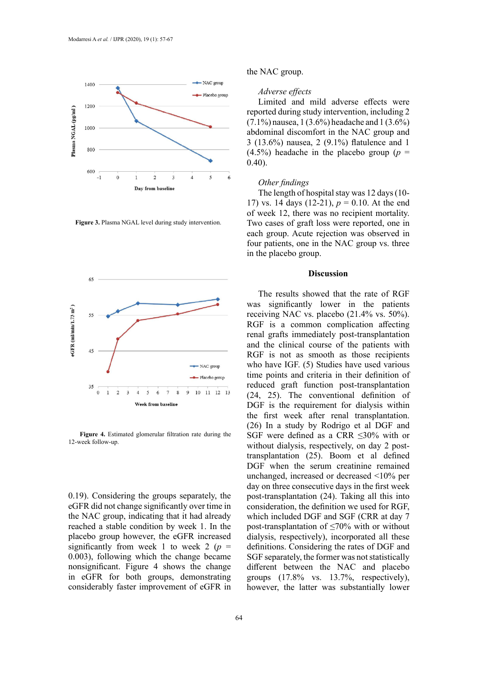

**Figure 3.** Plasma NGAL level during study intervention. **Figure 3.** Plasma NGAL level during study intervention.



**Figure 4.** Estimated glomerular filtration rate during the 12-week follow-up.

0.19). Considering the groups separately, the eGFR did not change significantly over time in the NAC group, indicating that it had already reached a stable condition by week 1. In the placebo group however, the eGFR increased significantly from week 1 to week 2 ( $p =$ 0.003), following which the change became nonsignificant. Figure 4 shows the change in eGFR for both groups, demonstrating considerably faster improvement of eGFR in the NAC group.

# *Adverse effects*

Limited and mild adverse effects were reported during study intervention, including 2 (7.1%) nausea, 1 (3.6%) headache and 1 (3.6%) abdominal discomfort in the NAC group and 3 (13.6%) nausea, 2 (9.1%) flatulence and 1 (4.5%) headache in the placebo group (*p* = 0.40).

# *Other findings*

The length of hospital stay was 12 days (10- 17) vs. 14 days (12-21), *p* = 0.10. At the end of week 12, there was no recipient mortality. Two cases of graft loss were reported, one in each group. Acute rejection was observed in four patients, one in the NAC group vs. three in the placebo group.

# **Discussion**

The results showed that the rate of RGF was significantly lower in the patients receiving NAC vs. placebo (21.4% vs. 50%). RGF is a common complication affecting renal grafts immediately post-transplantation and the clinical course of the patients with RGF is not as smooth as those recipients who have IGF. (5) Studies have used various time points and criteria in their definition of reduced graft function post-transplantation (24, 25). The conventional definition of DGF is the requirement for dialysis within the first week after renal transplantation. (26) In a study by Rodrigo et al DGF and SGF were defined as a CRR ≤30% with or without dialysis, respectively, on day 2 posttransplantation (25). Boom et al defined DGF when the serum creatinine remained unchanged, increased or decreased <10% per day on three consecutive days in the first week post-transplantation (24). Taking all this into consideration, the definition we used for RGF, which included DGF and SGF (CRR at day 7 post-transplantation of ≤70% with or without dialysis, respectively), incorporated all these definitions. Considering the rates of DGF and SGF separately, the former was not statistically different between the NAC and placebo groups (17.8% vs. 13.7%, respectively), however, the latter was substantially lower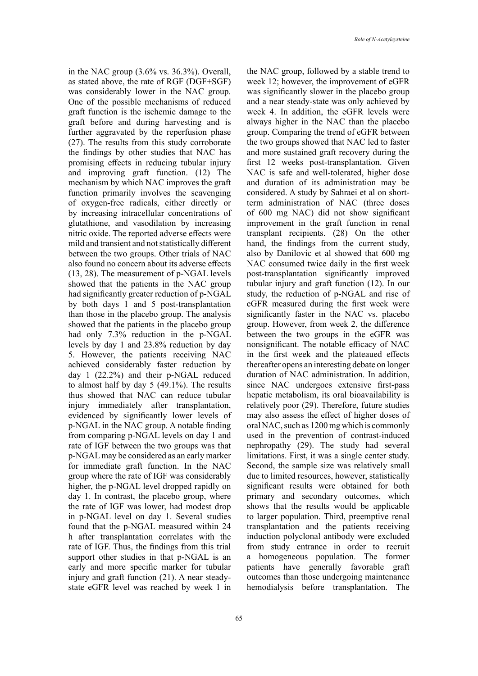in the NAC group (3.6% vs. 36.3%). Overall, as stated above, the rate of RGF (DGF+SGF) was considerably lower in the NAC group. One of the possible mechanisms of reduced graft function is the ischemic damage to the graft before and during harvesting and is further aggravated by the reperfusion phase (27). The results from this study corroborate the findings by other studies that NAC has promising effects in reducing tubular injury and improving graft function. (12) The mechanism by which NAC improves the graft function primarily involves the scavenging of oxygen-free radicals, either directly or by increasing intracellular concentrations of glutathione, and vasodilation by increasing nitric oxide. The reported adverse effects were mild and transient and not statistically different between the two groups. Other trials of NAC also found no concern about its adverse effects (13, 28). The measurement of p-NGAL levels showed that the patients in the NAC group had significantly greater reduction of p-NGAL by both days 1 and 5 post-transplantation than those in the placebo group. The analysis showed that the patients in the placebo group had only 7.3% reduction in the p-NGAL levels by day 1 and 23.8% reduction by day 5. However, the patients receiving NAC achieved considerably faster reduction by day 1 (22.2%) and their p-NGAL reduced to almost half by day 5 (49.1%). The results thus showed that NAC can reduce tubular injury immediately after transplantation, evidenced by significantly lower levels of p-NGAL in the NAC group. A notable finding from comparing p-NGAL levels on day 1 and rate of IGF between the two groups was that p-NGAL may be considered as an early marker for immediate graft function. In the NAC group where the rate of IGF was considerably higher, the p-NGAL level dropped rapidly on day 1. In contrast, the placebo group, where the rate of IGF was lower, had modest drop in p-NGAL level on day 1. Several studies found that the p-NGAL measured within 24 h after transplantation correlates with the rate of IGF. Thus, the findings from this trial support other studies in that p-NGAL is an early and more specific marker for tubular injury and graft function (21). A near steadystate eGFR level was reached by week 1 in

the NAC group, followed by a stable trend to week 12; however, the improvement of eGFR was significantly slower in the placebo group and a near steady-state was only achieved by week 4. In addition, the eGFR levels were always higher in the NAC than the placebo group. Comparing the trend of eGFR between the two groups showed that NAC led to faster and more sustained graft recovery during the first 12 weeks post-transplantation. Given NAC is safe and well-tolerated, higher dose and duration of its administration may be considered. A study by Sahraei et al on shortterm administration of NAC (three doses of 600 mg NAC) did not show significant improvement in the graft function in renal transplant recipients. (28) On the other hand, the findings from the current study, also by Danilovic et al showed that 600 mg NAC consumed twice daily in the first week post-transplantation significantly improved tubular injury and graft function (12). In our study, the reduction of p-NGAL and rise of eGFR measured during the first week were significantly faster in the NAC vs. placebo group. However, from week 2, the difference between the two groups in the eGFR was nonsignificant. The notable efficacy of NAC in the first week and the plateaued effects thereafter opens an interesting debate on longer duration of NAC administration. In addition, since NAC undergoes extensive first-pass hepatic metabolism, its oral bioavailability is relatively poor (29). Therefore, future studies may also assess the effect of higher doses of oral NAC, such as 1200 mg which is commonly used in the prevention of contrast-induced nephropathy (29). The study had several limitations. First, it was a single center study. Second, the sample size was relatively small due to limited resources, however, statistically significant results were obtained for both primary and secondary outcomes, which shows that the results would be applicable to larger population. Third, preemptive renal transplantation and the patients receiving induction polyclonal antibody were excluded from study entrance in order to recruit a homogeneous population. The former patients have generally favorable graft outcomes than those undergoing maintenance hemodialysis before transplantation. The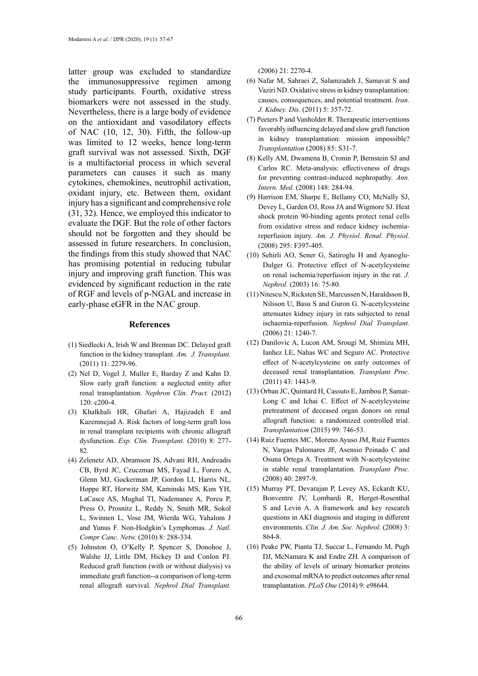latter group was excluded to standardize the immunosuppressive regimen among study participants. Fourth, oxidative stress biomarkers were not assessed in the study. Nevertheless, there is a large body of evidence on the antioxidant and vasodilatory effects of NAC (10, 12, 30). Fifth, the follow-up was limited to 12 weeks, hence long-term graft survival was not assessed. Sixth, DGF is a multifactorial process in which several parameters can causes it such as many cytokines, chemokines, neutrophil activation, oxidant injury, etc. Between them, oxidant injury has a significant and comprehensive role (31, 32). Hence, we employed this indicator to evaluate the DGF. But the role of other factors should not be forgotten and they should be assessed in future researchers. In conclusion, the findings from this study showed that NAC has promising potential in reducing tubular injury and improving graft function. This was evidenced by significant reduction in the rate of RGF and levels of p-NGAL and increase in early-phase eGFR in the NAC group.

# **References**

- (1) Siedlecki A, Irish W and Brennan DC. Delayed graft function in the kidney transplant. *Am. J. Transplant.*  (2011) 11: 2279-96.
- (2) Nel D, Vogel J, Muller E, Barday Z and Kahn D. Slow early graft function: a neglected entity after renal transplantation. *Nephron Clin. Pract.* (2012) 120: c200-4.
- (3) Khalkhali HR, Ghafari A, Hajizadeh E and Kazemnejad A. Risk factors of long-term graft loss in renal transplant recipients with chronic allograft dysfunction. *Exp. Clin. Transplant.* (2010) 8: 277- 82.
- (4) Zelenetz AD, Abramson JS, Advani RH, Andreadis CB, Byrd JC, Czuczman MS, Fayad L, Forero A, Glenn MJ, Gockerman JP, Gordon LI, Harris NL, Hoppe RT, Horwitz SM, Kaminski MS, Kim YH, LaCasce AS, Mughal TI, Nademanee A, Porcu P, Press O, Prosnitz L, Reddy N, Smith MR, Sokol L, Swinnen L, Vose JM, Wierda WG, Yahalom J and Yunus F. Non-Hodgkin's Lymphomas. *J. Natl. Compr Canc. Netw.* (2010) 8: 288-334.
- (5) Johnston O, O'Kelly P, Spencer S, Donohoe J, Walshe JJ, Little DM, Hickey D and Conlon PJ. Reduced graft function (with or without dialysis) vs immediate graft function--a comparison of long-term renal allograft survival. *Nephrol Dial Transplant.*

(2006) 21: 2270-4.

- (6) Nafar M, Sahraei Z, Salamzadeh J, Samavat S and Vaziri ND. Oxidative stress in kidney transplantation: causes, consequences, and potential treatment. *Iran. J. Kidney. Dis.* (2011) 5: 357-72.
- (7) Peeters P and Vanholder R. Therapeutic interventions favorably influencing delayed and slow graft function in kidney transplantation: mission impossible? *Transplantation* (2008) 85: S31-7.
- (8) Kelly AM, Dwamena B, Cronin P, Bernstein SJ and Carlos RC. Meta-analysis: effectiveness of drugs for preventing contrast-induced nephropathy. *Ann. Intern. Med.* (2008) 148: 284-94.
- (9) Harrison EM, Sharpe E, Bellamy CO, McNally SJ, Devey L, Garden OJ, Ross JA and Wigmore SJ. Heat shock protein 90-binding agents protect renal cells from oxidative stress and reduce kidney ischemiareperfusion injury. *Am. J. Physiol. Renal. Physiol.*  (2008) 295: F397-405.
- (10) Sehirli AO, Sener G, Satiroglu H and Ayanoglu-Dulger G. Protective effect of N-acetylcysteine on renal ischemia/reperfusion injury in the rat. *J. Nephrol.* (2003) 16: 75-80.
- (11) Nitescu N, Ricksten SE, Marcussen N, Haraldsson B, Nilsson U, Basu S and Guron G. N-acetylcysteine attenuates kidney injury in rats subjected to renal ischaemia-reperfusion. *Nephrol Dial Transplant.*  (2006) 21: 1240-7.
- (12) Danilovic A, Lucon AM, Srougi M, Shimizu MH, Ianhez LE, Nahas WC and Seguro AC. Protective effect of N-acetylcysteine on early outcomes of deceased renal transplantation. *Transplant Proc.*  (2011) 43: 1443-9.
- (13) Orban JC, Quintard H, Cassuto E, Jambou P, Samat-Long C and Ichai C. Effect of N-acetylcysteine pretreatment of deceased organ donors on renal allograft function: a randomized controlled trial. *Transplantation* (2015) 99: 746-53.
- (14) Ruiz Fuentes MC, Moreno Ayuso JM, Ruiz Fuentes N, Vargas Palomares JF, Asensio Peinado C and Osuna Ortega A. Treatment with N-acetylcysteine in stable renal transplantation. *Transplant Proc.*  (2008) 40: 2897-9.
- (15) Murray PT, Devarajan P, Levey AS, Eckardt KU, Bonventre JV, Lombardi R, Herget-Rosenthal S and Levin A. A framework and key research questions in AKI diagnosis and staging in different environments. *Clin. J. Am. Soc. Nephrol.* (2008) 3: 864-8.
- (16) Peake PW, Pianta TJ, Succar L, Fernando M, Pugh DJ, McNamara K and Endre ZH. A comparison of the ability of levels of urinary biomarker proteins and exosomal mRNA to predict outcomes after renal transplantation. *PLoS One* (2014) 9: e98644.